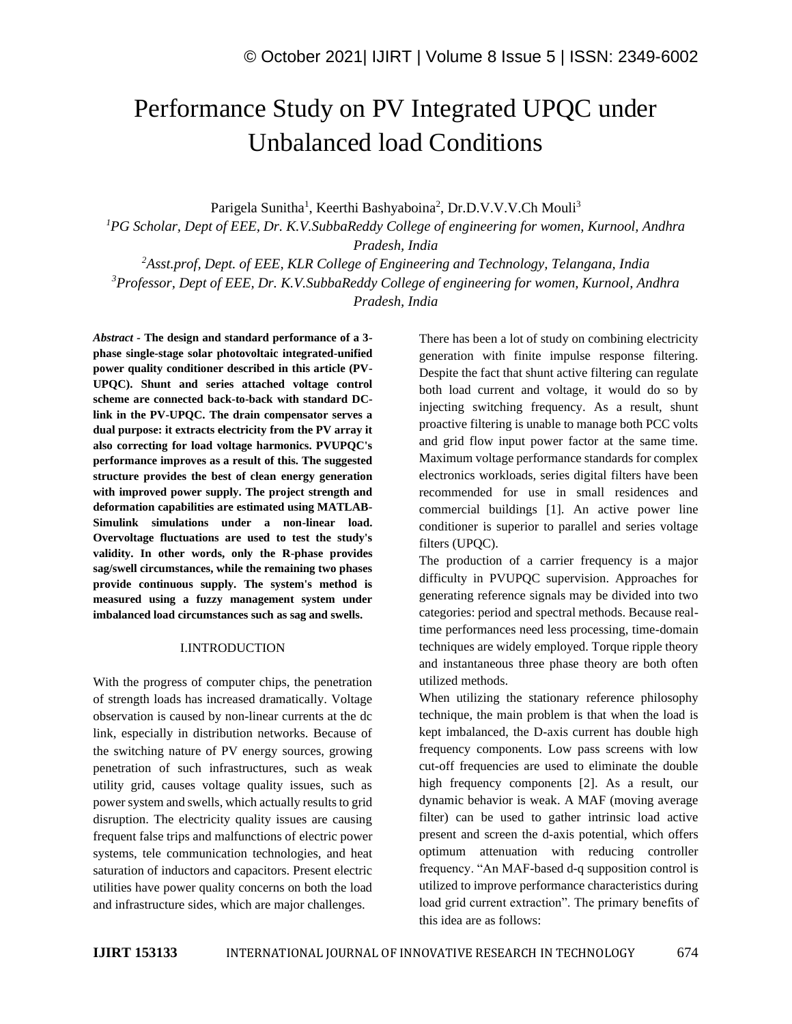# Performance Study on PV Integrated UPQC under Unbalanced load Conditions

Parigela Sunitha<sup>1</sup>, Keerthi Bashyaboina<sup>2</sup>, Dr.D.V.V.V.Ch Mouli<sup>3</sup>

*<sup>1</sup>PG Scholar, Dept of EEE, Dr. K.V.SubbaReddy College of engineering for women, Kurnool, Andhra Pradesh, India*

*<sup>2</sup>Asst.prof, Dept. of EEE, KLR College of Engineering and Technology, Telangana, India <sup>3</sup>Professor, Dept of EEE, Dr. K.V.SubbaReddy College of engineering for women, Kurnool, Andhra Pradesh, India*

*Abstract -* **The design and standard performance of a 3 phase single-stage solar photovoltaic integrated-unified power quality conditioner described in this article (PV-UPQC). Shunt and series attached voltage control scheme are connected back-to-back with standard DClink in the PV-UPQC. The drain compensator serves a dual purpose: it extracts electricity from the PV array it also correcting for load voltage harmonics. PVUPQC's performance improves as a result of this. The suggested structure provides the best of clean energy generation with improved power supply. The project strength and deformation capabilities are estimated using MATLAB-Simulink simulations under a non-linear load. Overvoltage fluctuations are used to test the study's validity. In other words, only the R-phase provides sag/swell circumstances, while the remaining two phases provide continuous supply. The system's method is measured using a fuzzy management system under imbalanced load circumstances such as sag and swells.**

#### I.INTRODUCTION

With the progress of computer chips, the penetration of strength loads has increased dramatically. Voltage observation is caused by non-linear currents at the dc link, especially in distribution networks. Because of the switching nature of PV energy sources, growing penetration of such infrastructures, such as weak utility grid, causes voltage quality issues, such as power system and swells, which actually results to grid disruption. The electricity quality issues are causing frequent false trips and malfunctions of electric power systems, tele communication technologies, and heat saturation of inductors and capacitors. Present electric utilities have power quality concerns on both the load and infrastructure sides, which are major challenges.

There has been a lot of study on combining electricity generation with finite impulse response filtering. Despite the fact that shunt active filtering can regulate both load current and voltage, it would do so by injecting switching frequency. As a result, shunt proactive filtering is unable to manage both PCC volts and grid flow input power factor at the same time. Maximum voltage performance standards for complex electronics workloads, series digital filters have been recommended for use in small residences and commercial buildings [1]. An active power line conditioner is superior to parallel and series voltage filters (UPQC).

The production of a carrier frequency is a major difficulty in PVUPQC supervision. Approaches for generating reference signals may be divided into two categories: period and spectral methods. Because realtime performances need less processing, time-domain techniques are widely employed. Torque ripple theory and instantaneous three phase theory are both often utilized methods.

When utilizing the stationary reference philosophy technique, the main problem is that when the load is kept imbalanced, the D-axis current has double high frequency components. Low pass screens with low cut-off frequencies are used to eliminate the double high frequency components [2]. As a result, our dynamic behavior is weak. A MAF (moving average filter) can be used to gather intrinsic load active present and screen the d-axis potential, which offers optimum attenuation with reducing controller frequency. "An MAF-based d-q supposition control is utilized to improve performance characteristics during load grid current extraction". The primary benefits of this idea are as follows: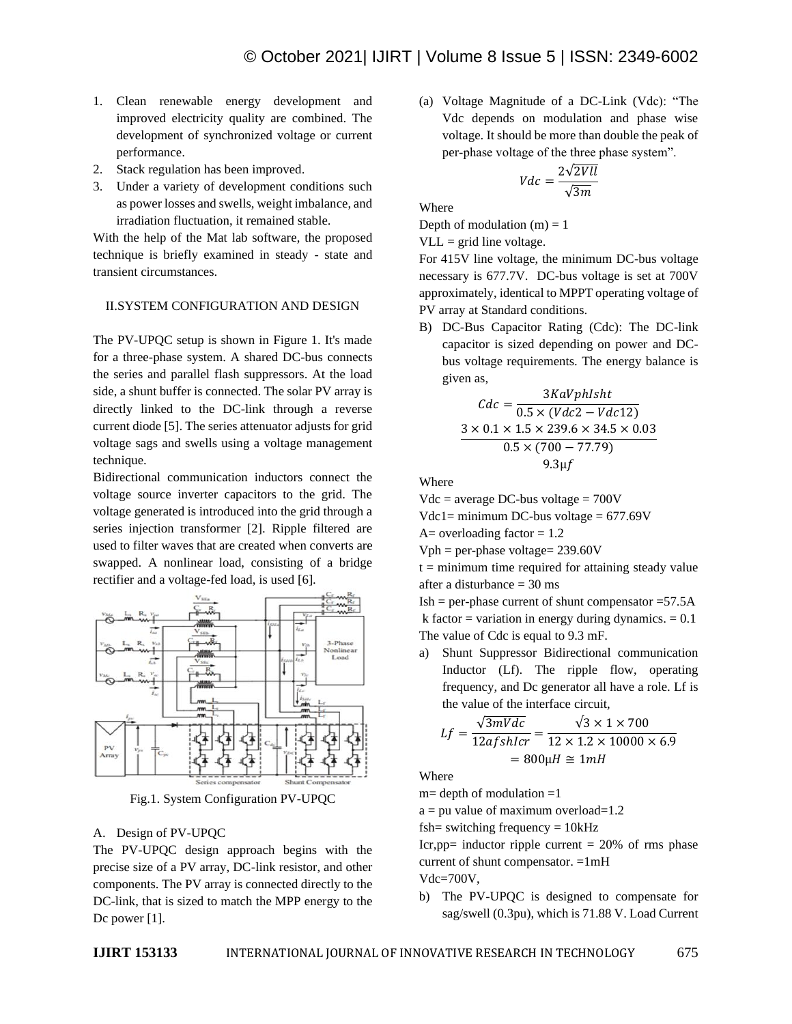- 1. Clean renewable energy development and improved electricity quality are combined. The development of synchronized voltage or current performance.
- 2. Stack regulation has been improved.
- 3. Under a variety of development conditions such as power losses and swells, weight imbalance, and irradiation fluctuation, it remained stable.

With the help of the Mat lab software, the proposed technique is briefly examined in steady - state and transient circumstances.

## II.SYSTEM CONFIGURATION AND DESIGN

The PV-UPQC setup is shown in Figure 1. It's made for a three-phase system. A shared DC-bus connects the series and parallel flash suppressors. At the load side, a shunt buffer is connected. The solar PV array is directly linked to the DC-link through a reverse current diode [5]. The series attenuator adjusts for grid voltage sags and swells using a voltage management technique.

Bidirectional communication inductors connect the voltage source inverter capacitors to the grid. The voltage generated is introduced into the grid through a series injection transformer [2]. Ripple filtered are used to filter waves that are created when converts are swapped. A nonlinear load, consisting of a bridge rectifier and a voltage-fed load, is used [6].



Fig.1. System Configuration PV-UPQC

## A. Design of PV-UPQC

The PV-UPQC design approach begins with the precise size of a PV array, DC-link resistor, and other components. The PV array is connected directly to the DC-link, that is sized to match the MPP energy to the Dc power [1].

(a) Voltage Magnitude of a DC-Link (Vdc): "The Vdc depends on modulation and phase wise voltage. It should be more than double the peak of per-phase voltage of the three phase system".

$$
Vdc = \frac{2\sqrt{2Vll}}{\sqrt{3m}}
$$

Where

Depth of modulation  $(m) = 1$ 

 $VLL = grid$  line voltage.

For 415V line voltage, the minimum DC-bus voltage necessary is 677.7V. DC-bus voltage is set at 700V approximately, identical to MPPT operating voltage of PV array at Standard conditions.

B) DC-Bus Capacitor Rating (Cdc): The DC-link capacitor is sized depending on power and DCbus voltage requirements. The energy balance is given as,

$$
Cdc = \frac{3KaVphl sht}{0.5 \times (Vdc2 - Vdc12)}
$$
  
3 × 0.1 × 1.5 × 239.6 × 34.5 × 0.03  
0.5 × (700 – 77.79)  
9.3µf

Where

 $Vdc = average DC-bus voltage = 700V$ 

 $Vdc1 = minimum DC-bus voltage = 677.69V$ 

A= overloading factor  $= 1.2$ 

 $Vph = per-phase voltage = 239.60V$ 

 $t =$  minimum time required for attaining steady value after a disturbance = 30 ms

 $Ish = per-phase current of shunt compensator = 57.5A$ k factor = variation in energy during dynamics.  $= 0.1$ The value of Cdc is equal to 9.3 mF.

a) Shunt Suppressor Bidirectional communication Inductor (Lf). The ripple flow, operating frequency, and Dc generator all have a role. Lf is the value of the interface circuit,

$$
Lf = \frac{\sqrt{3mVdc}}{12afshlcr} = \frac{\sqrt{3} \times 1 \times 700}{12 \times 1.2 \times 10000 \times 6.9}
$$

$$
= 800 \mu H \approx 1 mH
$$

Where

 $m=$  depth of modulation  $=1$ 

 $a = pu$  value of maximum overload=1.2

fsh= switching frequency =  $10kHz$ 

Icr, pp= inductor ripple current =  $20\%$  of rms phase current of shunt compensator.  $=1mH$ 

Vdc=700V,

b) The PV-UPQC is designed to compensate for sag/swell (0.3pu), which is 71.88 V. Load Current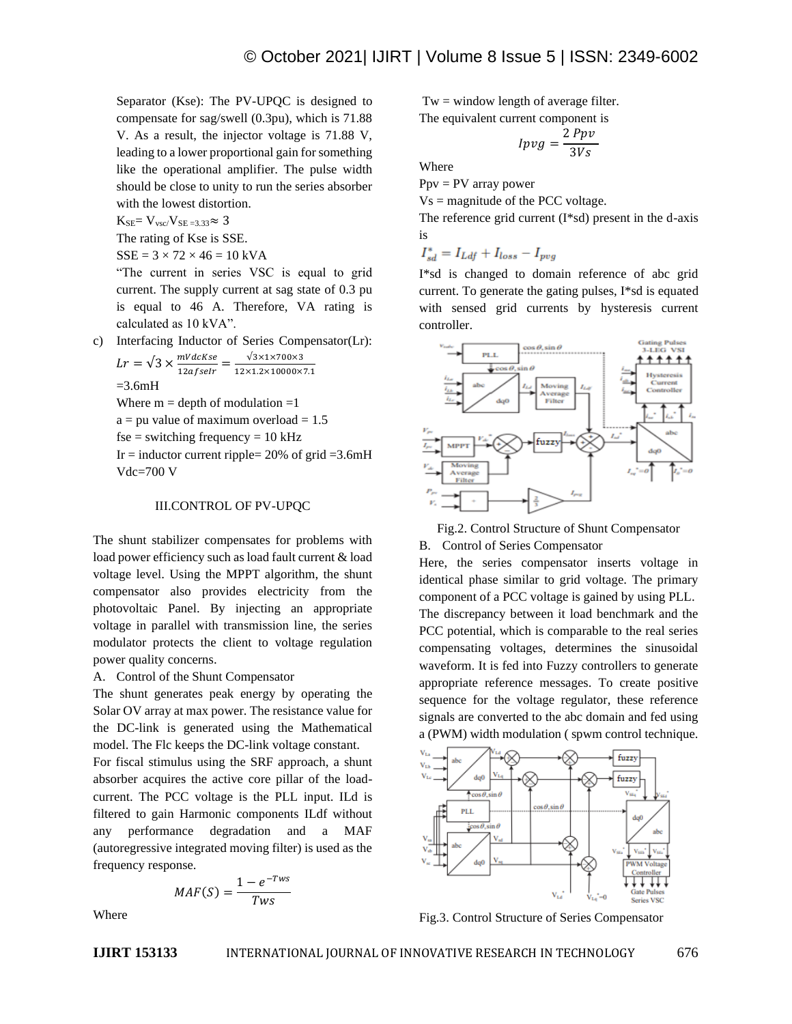Separator (Kse): The PV-UPQC is designed to compensate for sag/swell (0.3pu), which is 71.88 V. As a result, the injector voltage is 71.88 V, leading to a lower proportional gain for something like the operational amplifier. The pulse width should be close to unity to run the series absorber with the lowest distortion.

 $K_{SE} = V_{\text{vsc}}/V_{SE = 3.33} \approx 3$ 

The rating of Kse is SSE.

 $SSE = 3 \times 72 \times 46 = 10$  kVA

"The current in series VSC is equal to grid current. The supply current at sag state of 0.3 pu is equal to 46 A. Therefore, VA rating is calculated as 10 kVA".

c) Interfacing Inductor of Series Compensator(Lr):

$$
Lr = \sqrt{3} \times \frac{mVdcKse}{12afseir} = \frac{\sqrt{3 \times 1 \times 700 \times 3}}{12 \times 1.2 \times 10000 \times 7.1}
$$
  
= 3.6mH  
Where m = depth of modulation =1

 $a = pu$  value of maximum overload = 1.5

 $fse =$  switching frequency = 10 kHz

Ir = inductor current ripple=  $20\%$  of grid = 3.6mH Vdc=700 V

## III.CONTROL OF PV-UPQC

The shunt stabilizer compensates for problems with load power efficiency such as load fault current & load voltage level. Using the MPPT algorithm, the shunt compensator also provides electricity from the photovoltaic Panel. By injecting an appropriate voltage in parallel with transmission line, the series modulator protects the client to voltage regulation power quality concerns.

A. Control of the Shunt Compensator

The shunt generates peak energy by operating the Solar OV array at max power. The resistance value for the DC-link is generated using the Mathematical model. The Flc keeps the DC-link voltage constant.

For fiscal stimulus using the SRF approach, a shunt absorber acquires the active core pillar of the loadcurrent. The PCC voltage is the PLL input. ILd is filtered to gain Harmonic components ILdf without any performance degradation and a MAF (autoregressive integrated moving filter) is used as the frequency response.

$$
MAF(S) = \frac{1 - e^{-Tws}}{Tws}
$$

 $Tw = window$  length of average filter.

The equivalent current component is ່າການ

$$
Ipvg = \frac{2\,Pp\,v}{3Vs}
$$

Where

 $Ppv = PV$  array power

 $Vs = magnitude of the PCC voltage.$ 

The reference grid current (I\*sd) present in the d-axis is

 $I_{sd}^* = I_{Ldf} + I_{loss} - I_{pvg}$ 

I\*sd is changed to domain reference of abc grid current. To generate the gating pulses, I\*sd is equated with sensed grid currents by hysteresis current controller.



Fig.2. Control Structure of Shunt Compensator

B. Control of Series Compensator

Here, the series compensator inserts voltage in identical phase similar to grid voltage. The primary component of a PCC voltage is gained by using PLL. The discrepancy between it load benchmark and the PCC potential, which is comparable to the real series compensating voltages, determines the sinusoidal waveform. It is fed into Fuzzy controllers to generate appropriate reference messages. To create positive sequence for the voltage regulator, these reference signals are converted to the abc domain and fed using a (PWM) width modulation ( spwm control technique.



Fig.3. Control Structure of Series Compensator

Where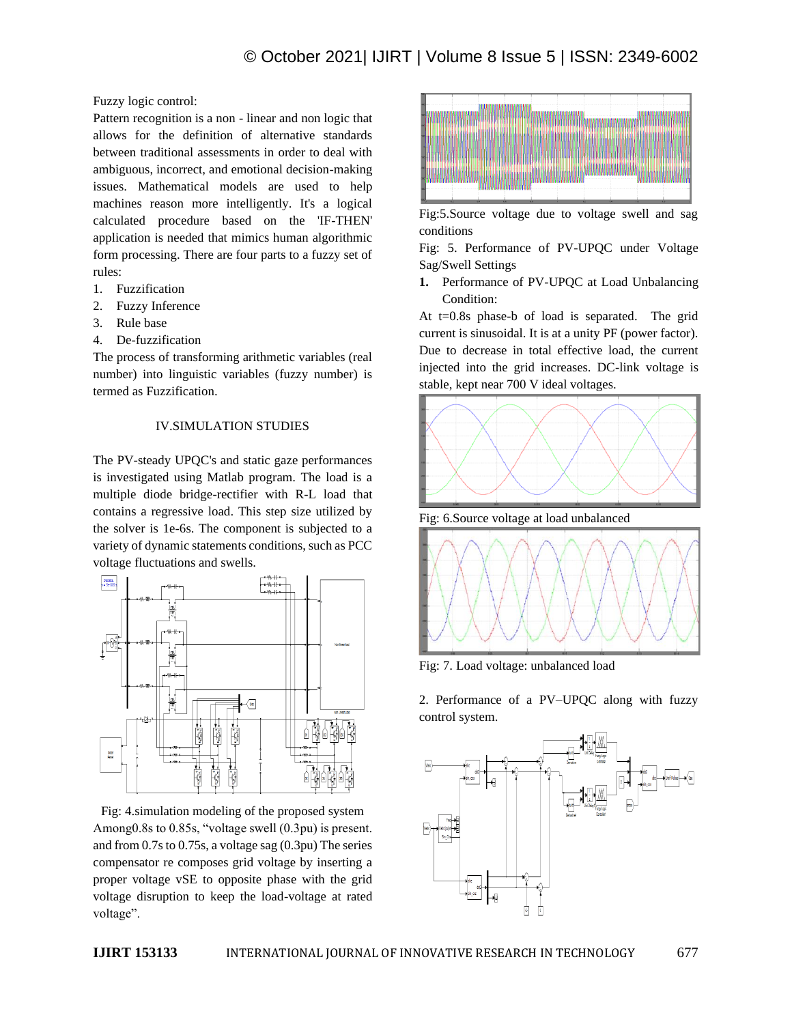Fuzzy logic control:

Pattern recognition is a non - linear and non logic that allows for the definition of alternative standards between traditional assessments in order to deal with ambiguous, incorrect, and emotional decision-making issues. Mathematical models are used to help machines reason more intelligently. It's a logical calculated procedure based on the 'IF-THEN' application is needed that mimics human algorithmic form processing. There are four parts to a fuzzy set of rules:

- 1. Fuzzification
- 2. Fuzzy Inference
- 3. Rule base
- 4. De-fuzzification

The process of transforming arithmetic variables (real number) into linguistic variables (fuzzy number) is termed as Fuzzification.

## IV.SIMULATION STUDIES

The PV-steady UPQC's and static gaze performances is investigated using Matlab program. The load is a multiple diode bridge-rectifier with R-L load that contains a regressive load. This step size utilized by the solver is 1e-6s. The component is subjected to a variety of dynamic statements conditions, such as PCC voltage fluctuations and swells.



Fig: 4.simulation modeling of the proposed system Among0.8s to 0.85s, "voltage swell (0.3pu) is present. and from 0.7s to 0.75s, a voltage sag (0.3pu) The series compensator re composes grid voltage by inserting a proper voltage vSE to opposite phase with the grid voltage disruption to keep the load-voltage at rated voltage".



Fig:5.Source voltage due to voltage swell and sag conditions

Fig: 5. Performance of PV-UPQC under Voltage Sag/Swell Settings

**1.** Performance of PV-UPQC at Load Unbalancing Condition:

At  $t=0.8$ s phase-b of load is separated. The grid current is sinusoidal. It is at a unity PF (power factor). Due to decrease in total effective load, the current injected into the grid increases. DC-link voltage is stable, kept near 700 V ideal voltages.



Fig: 6.Source voltage at load unbalanced



Fig: 7. Load voltage: unbalanced load

2. Performance of a PV–UPQC along with fuzzy control system.